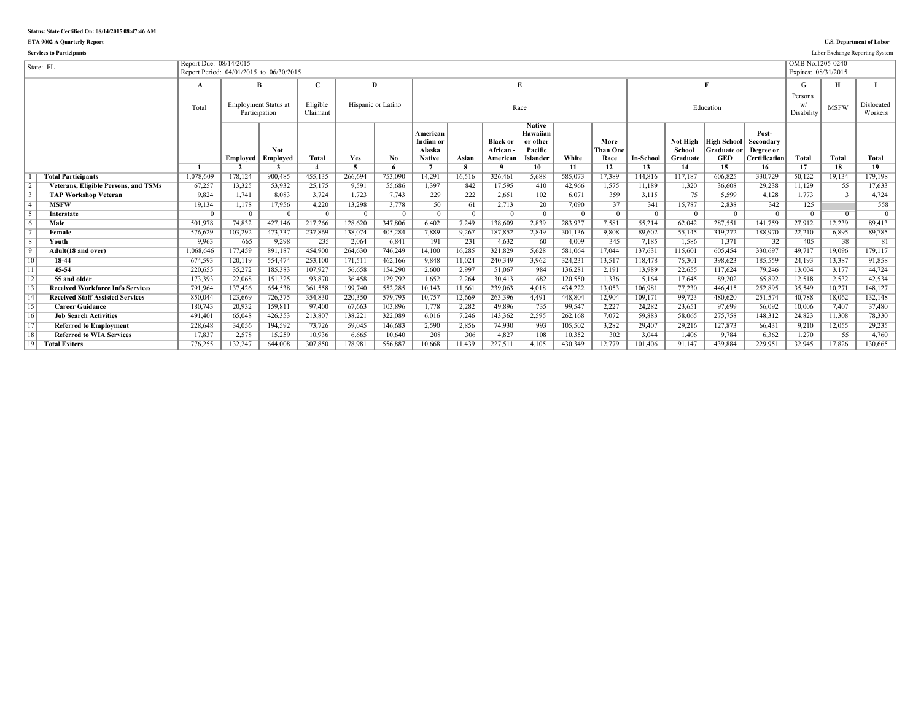### **Status: State Certified On: 08/14/2015 08:47:46 AM**

**ETA 9002 A Quarterly Report U.S. Department of Labor**

|                 | <b>Services to Participants</b>             |                                                                   |               |                             |                      |          |                    |                                                  |          |                                          |                                                              |            |                          |                  |                                       |                                          |                                                  |                                         |               | Labor Exchange Reporting System |
|-----------------|---------------------------------------------|-------------------------------------------------------------------|---------------|-----------------------------|----------------------|----------|--------------------|--------------------------------------------------|----------|------------------------------------------|--------------------------------------------------------------|------------|--------------------------|------------------|---------------------------------------|------------------------------------------|--------------------------------------------------|-----------------------------------------|---------------|---------------------------------|
|                 | State: FL                                   | Report Due: 08/14/2015<br>Report Period: 04/01/2015 to 06/30/2015 |               |                             |                      |          |                    |                                                  |          |                                          |                                                              |            |                          |                  |                                       |                                          |                                                  | OMB No.1205-0240<br>Expires: 08/31/2015 |               |                                 |
|                 |                                             | A                                                                 |               | R                           | $\mathbf C$          | D        |                    |                                                  |          | E                                        |                                                              |            |                          |                  |                                       |                                          |                                                  | G                                       | н             |                                 |
|                 |                                             | Total                                                             | Participation | <b>Employment Status at</b> | Eligible<br>Claimant |          | Hispanic or Latino |                                                  |          |                                          | Race                                                         |            |                          |                  |                                       | Education                                |                                                  | Persons<br>Disability                   | <b>MSFW</b>   | Dislocated<br>Workers           |
|                 |                                             |                                                                   | Employed      | <b>Not</b><br>Employed      | <b>Total</b>         | Yes      | No                 | American<br>Indian or<br>Alaska<br><b>Native</b> | Asian    | <b>Black or</b><br>African -<br>American | <b>Native</b><br>Hawaiian<br>or other<br>Pacific<br>Islander | White      | More<br>Than One<br>Race | <b>In-School</b> | <b>Not High</b><br>School<br>Graduate | High School<br>Graduate or<br><b>GED</b> | Post-<br>Secondary<br>Degree or<br>Certification | Total                                   | Total         | <b>Total</b>                    |
|                 |                                             |                                                                   |               |                             |                      |          |                    |                                                  |          |                                          | $10^{-}$                                                     | 11         | 12                       | 13               | 14                                    | 15                                       | 16                                               | 17                                      | 18            | 19                              |
|                 | <b>Total Participants</b>                   | 1,078,609                                                         | 178,124       | 900.485                     | 455.135              | 266.694  | 753.090            | 14.291                                           | 16.516   | 326.461                                  | 5.688                                                        | 585.073    | 17.389                   | 144.816          | 117.187                               | 606.825                                  | 330,729                                          | 50.122                                  | 19.134        | 179.198                         |
| $\overline{2}$  | <b>Veterans, Eligible Persons, and TSMs</b> | 67,257                                                            | 13,325        | 53,932                      | 25,175               | 9,591    | 55,686             | 1,397                                            | 842      | 17,595                                   | 410                                                          | 42,966     | 1,575                    | 11,189           | 1,320                                 | 36,608                                   | 29,238                                           | 11,129                                  | 55            | 17,633                          |
| $\sqrt{3}$      | <b>TAP Workshop Veteran</b>                 | 9,824                                                             | 1,741         | 8.083                       | 3,724                | 1,723    | 7,743              | 229                                              | 222      | 2,651                                    | 102                                                          | 6,071      | 359                      | 3,115            | 75                                    | 5.599                                    | 4,128                                            | 1.773                                   | $\mathcal{R}$ | 4,724                           |
| $\overline{4}$  | <b>MSFW</b>                                 | 19,134                                                            | 1,178         | 17,956                      | 4,220                | 13,298   | 3,778              | 50                                               | 61       | 2,713                                    | 20                                                           | 7,090      | 37                       | 341              | 15,787                                | 2,838                                    | 342                                              | 125                                     |               | 558                             |
| $\sqrt{5}$      | Interstate                                  | $\Omega$                                                          |               |                             | $\Omega$             | $\Omega$ | $\Omega$           | - 0                                              | $\Omega$ |                                          | $^{\circ}$                                                   | $^{\circ}$ | $\Omega$                 | $^{\circ}$       |                                       | $\Omega$                                 | - 0                                              |                                         |               | $\overline{0}$                  |
| 6               | Male                                        | 501.978                                                           | 74.832        | 427.146                     | 217.266              | 128.620  | 347.806            | 6.402                                            | 7.249    | 138.609                                  | 2.839                                                        | 283.937    | 7.581                    | 55,214           | 62.042                                | 287.551                                  | 141.759                                          | 27.912                                  | 12.239        | 89.413                          |
| $\overline{7}$  | Female                                      | 576,629                                                           | 103,292       | 473,337                     | 237,869              | 138,074  | 405,284            | 7.889                                            | 9,267    | 187,852                                  | 2,849                                                        | 301,136    | 9,808                    | 89.602           | 55,145                                | 319,272                                  | 188,970                                          | 22,210                                  | 6,895         | 89,785                          |
| $\overline{8}$  | Youth                                       | 9.963                                                             | 665           | 9.298                       | 235                  | 2.064    | 6.841              | 191                                              | 231      | 4.632                                    | 60                                                           | 4.009      | 345                      | 7,185            | 1.586                                 | 1.371                                    | 32                                               | 405                                     | 38            | 81                              |
| $\sqrt{9}$      | Adult(18 and over)                          | 1,068,646                                                         | 177,459       | 891,187                     | 454.900              | 264.630  | 746,249            | 14.100                                           | 16,285   | 321,829                                  | 5.628                                                        | 581.064    | 17,044                   | 137,631          | 115.601                               | 605.454                                  | 330,697                                          | 49.717                                  | 19.096        | 179,117                         |
| $\overline{10}$ | 18-44                                       | 674,593                                                           | 120,119       | 554,474                     | 253,100              | 171,511  | 462,166            | 9,848                                            | 11,024   | 240,349                                  | 3,962                                                        | 324,231    | 13,517                   | 118,478          | 75,301                                | 398,623                                  | 185,559                                          | 24,193                                  | 13,387        | 91,858                          |
| $\overline{11}$ | 45-54                                       | 220,655                                                           | 35,272        | 185,383                     | 107,927              | 56,658   | 154,290            | 2.600                                            | 2,997    | 51,067                                   | 984                                                          | 136,281    | 2,191                    | 13,989           | 22,655                                | 117,624                                  | 79,246                                           | 13,004                                  | 3,177         | 44,724                          |
| $\overline{12}$ | 55 and older                                | 173,393                                                           | 22,068        | 151,325                     | 93,870               | 36,458   | 129,792            | 1.652                                            | 2,264    | 30,413                                   | 682                                                          | 120,550    | 1,336                    | 5,164            | 17.645                                | 89,202                                   | 65,892                                           | 12,518                                  | 2,532         | 42,534                          |
| $\overline{13}$ | <b>Received Workforce Info Services</b>     | 791,964                                                           | 137.426       | 654.538                     | 361.558              | 199.740  | 552,285            | 10.143                                           | 11.661   | 239.063                                  | 4.018                                                        | 434.222    | 13.053                   | 106.981          | 77.230                                | 446.415                                  | 252,895                                          | 35,549                                  | 10.271        | 148.127                         |
| $\overline{14}$ | <b>Received Staff Assisted Services</b>     | 850,044                                                           | 123,669       | 726,375                     | 354.830              | 220,350  | 579.793            | 10,757                                           | 12,669   | 263,396                                  | 4,491                                                        | 448.804    | 12,904                   | 109,171          | 99.723                                | 480.620                                  | 251,574                                          | 40,788                                  | 18,062        | 132,148                         |
| $\overline{15}$ | <b>Career Guidance</b>                      | 180,743                                                           | 20,932        | 159,811                     | 97.400               | 67,663   | 103,896            | 1.778                                            | 2,282    | 49,896                                   | 735                                                          | 99,547     | 2,227                    | 24,282           | 23,651                                | 97,699                                   | 56,092                                           | 10,006                                  | 7,407         | 37,480                          |
| $\overline{16}$ | <b>Job Search Activities</b>                | 491,401                                                           | 65.048        | 426,353                     | 213,807              | 138,221  | 322,089            | 6.016                                            | 7,246    | 143,362                                  | 2,595                                                        | 262,168    | 7,072                    | 59,883           | 58.065                                | 275,758                                  | 148,312                                          | 24,823                                  | 11,308        | 78,330                          |
| $\overline{17}$ | <b>Referred to Employment</b>               | 228,648                                                           | 34,056        | 194.592                     | 73.726               | 59,045   | 146,683            | 2,590                                            | 2,856    | 74,930                                   | 993                                                          | 105,502    | 3,282                    | 29,407           | 29.216                                | 127,873                                  | 66,431                                           | 9.210                                   | 12,055        | 29,235                          |
| $\overline{18}$ | <b>Referred to WIA Services</b>             | 17,837                                                            | 2,578         | 15,259                      | 10,936               | 6.665    | 10.640             | 208                                              | 306      | 4.827                                    | 108                                                          | 10,352     | 302                      | 3.044            | 1.406                                 | 9.784                                    | 6.362                                            | 1.270                                   | 55            | 4,760                           |
| 19              | <b>Total Exiters</b>                        | 776,255                                                           | 132.247       | 644.008                     | 307.850              | 178.981  | 556.887            | 10.668                                           | 11.439   | 227.511                                  | 4.105                                                        | 430.349    | 12.779                   | 101.406          | 91.147                                | 439.884                                  | 229.951                                          | 32.945                                  | 17.826        | 130.665                         |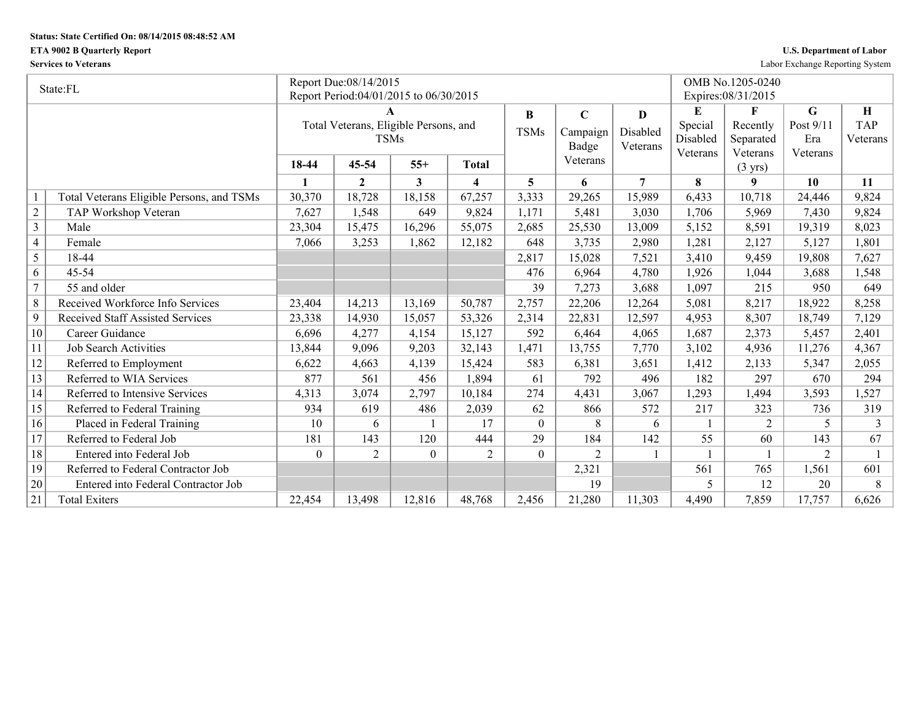## **Status: State Certified On: 08/14/2015 08:48:52 AM**

## **ETA 9002 B Quarterly Report U.S. Department of Labor**

**Services to Veterans** Labor Exchange Reporting System

|                | State:FL                                  |                | Report Due:08/14/2015                  |                |                |                |                |                |          | OMB No.1205-0240    |                |            |
|----------------|-------------------------------------------|----------------|----------------------------------------|----------------|----------------|----------------|----------------|----------------|----------|---------------------|----------------|------------|
|                |                                           |                | Report Period:04/01/2015 to 06/30/2015 |                |                |                |                |                |          | Expires: 08/31/2015 |                |            |
|                |                                           |                |                                        |                |                | B              | $\mathbf C$    | D              | E        | F                   | G              | $\bf H$    |
|                |                                           |                | Total Veterans, Eligible Persons, and  |                |                | <b>TSMs</b>    | Campaign       | Disabled       | Special  | Recently            | Post 9/11      | <b>TAP</b> |
|                |                                           |                | <b>TSMs</b>                            |                |                |                | Badge          | Veterans       | Disabled | Separated           | Era            | Veterans   |
|                |                                           |                |                                        |                |                |                | Veterans       |                | Veterans | Veterans            | Veterans       |            |
|                |                                           | 18-44          | 45-54                                  | $55+$          | Total          |                |                |                |          | $(3 \text{ yrs})$   |                |            |
|                |                                           | $\blacksquare$ | $\mathbf{2}$                           | 3              | 4              | 5              | 6              | $\overline{7}$ | 8        | 9                   | 10             | 11         |
|                | Total Veterans Eligible Persons, and TSMs | 30,370         | 18,728                                 | 18,158         | 67,257         | 3,333          | 29,265         | 15,989         | 6,433    | 10,718              | 24,446         | 9,824      |
| $\overline{2}$ | TAP Workshop Veteran                      | 7,627          | 1,548                                  | 649            | 9,824          | 1,171          | 5,481          | 3,030          | 1,706    | 5,969               | 7,430          | 9,824      |
| $\overline{3}$ | Male                                      | 23,304         | 15,475                                 | 16,296         | 55,075         | 2,685          | 25,530         | 13,009         | 5,152    | 8,591               | 19,319         | 8,023      |
| $\overline{4}$ | Female                                    | 7,066          | 3,253                                  | 1,862          | 12,182         | 648            | 3,735          | 2,980          | 1,281    | 2,127               | 5,127          | 1,801      |
| 5              | 18-44                                     |                |                                        |                |                | 2,817          | 15,028         | 7,521          | 3,410    | 9,459               | 19,808         | 7,627      |
| 6              | 45-54                                     |                |                                        |                |                | 476            | 6,964          | 4,780          | 1,926    | 1,044               | 3,688          | 1,548      |
| $\overline{7}$ | 55 and older                              |                |                                        |                |                | 39             | 7,273          | 3,688          | 1,097    | 215                 | 950            | 649        |
| $\,8\,$        | Received Workforce Info Services          | 23,404         | 14,213                                 | 13,169         | 50,787         | 2,757          | 22,206         | 12,264         | 5,081    | 8,217               | 18,922         | 8,258      |
| 9              | <b>Received Staff Assisted Services</b>   | 23,338         | 14,930                                 | 15,057         | 53,326         | 2,314          | 22,831         | 12,597         | 4,953    | 8,307               | 18,749         | 7,129      |
| 10             | Career Guidance                           | 6,696          | 4,277                                  | 4,154          | 15,127         | 592            | 6,464          | 4,065          | 1,687    | 2,373               | 5,457          | 2,401      |
| 11             | <b>Job Search Activities</b>              | 13,844         | 9,096                                  | 9,203          | 32,143         | 1,471          | 13,755         | 7,770          | 3,102    | 4,936               | 11,276         | 4,367      |
| 12             | Referred to Employment                    | 6,622          | 4,663                                  | 4,139          | 15,424         | 583            | 6,381          | 3,651          | 1,412    | 2,133               | 5,347          | 2,055      |
| 13             | Referred to WIA Services                  | 877            | 561                                    | 456            | 1,894          | 61             | 792            | 496            | 182      | 297                 | 670            | 294        |
| 14             | Referred to Intensive Services            | 4,313          | 3,074                                  | 2,797          | 10,184         | 274            | 4,431          | 3,067          | 1,293    | 1,494               | 3,593          | 1,527      |
| 15             | Referred to Federal Training              | 934            | 619                                    | 486            | 2,039          | 62             | 866            | 572            | 217      | 323                 | 736            | 319        |
| 16             | Placed in Federal Training                | 10             | 6                                      |                | 17             | $\overline{0}$ | 8              | 6              |          | 2                   | 5.             | 3          |
| 17             | Referred to Federal Job                   | 181            | 143                                    | 120            | 444            | 29             | 184            | 142            | 55       | 60                  | 143            | 67         |
| 18             | Entered into Federal Job                  | $\Omega$       | $\overline{2}$                         | $\overline{0}$ | $\overline{2}$ | $\overline{0}$ | $\overline{2}$ |                |          |                     | $\overline{2}$ |            |
| 19             | Referred to Federal Contractor Job        |                |                                        |                |                |                | 2,321          |                | 561      | 765                 | 1,561          | 601        |
| 20             | Entered into Federal Contractor Job       |                |                                        |                |                |                | 19             |                | 5        | 12                  | 20             | 8          |
| 21             | <b>Total Exiters</b>                      | 22,454         | 13,498                                 | 12,816         | 48,768         | 2,456          | 21,280         | 11,303         | 4,490    | 7,859               | 17,757         | 6,626      |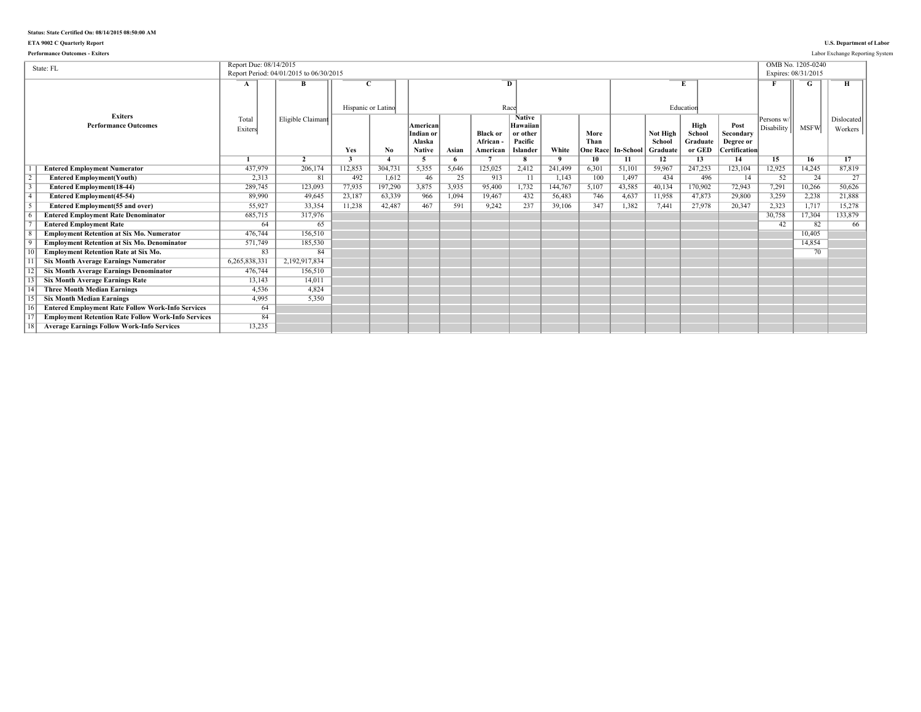## **Status: State Certified On: 08/14/2015 08:50:00 AM**

### **ETA 9002 C Quarterly Report U.S. Department of Labor**

| <b>Performance Outcomes - Exiters</b>                      |                        |                                         |                    |                  |                                                  |            |                                        |                                                                     |                         |                                 |                 |                                |                                      |                                                        |                          |                                          | Labor Exchange Reporting System |
|------------------------------------------------------------|------------------------|-----------------------------------------|--------------------|------------------|--------------------------------------------------|------------|----------------------------------------|---------------------------------------------------------------------|-------------------------|---------------------------------|-----------------|--------------------------------|--------------------------------------|--------------------------------------------------------|--------------------------|------------------------------------------|---------------------------------|
| State: FL                                                  | Report Due: 08/14/2015 | Report Period: 04/01/2015 to 06/30/2015 |                    |                  |                                                  |            |                                        |                                                                     |                         |                                 |                 |                                |                                      |                                                        |                          | OMB No. 1205-0240<br>Expires: 08/31/2015 |                                 |
|                                                            | A                      | B                                       | Hispanic or Latino |                  |                                                  |            |                                        | D<br>Race                                                           |                         |                                 |                 |                                | Education                            |                                                        |                          |                                          |                                 |
| <b>Exiters</b><br><b>Performance Outcomes</b>              | Total<br>Exiters       | Eligible Claimant                       | Yes                | No.              | American<br>Indian or<br>Alaska<br><b>Native</b> | Asian      | <b>Black or</b><br>African<br>American | <b>Native</b><br>Hawaiian<br>or other<br>Pacific<br><b>Islander</b> | White                   | More<br>Than<br><b>Dne Race</b> | In-School       | Not High<br>School<br>Graduate | High<br>School<br>Graduate<br>or GED | Post<br>Secondary<br>Degree or<br><b>Certification</b> | Persons w/<br>Disability | <b>MSFW</b>                              | Dislocated<br>Workers           |
|                                                            |                        | $\overline{2}$                          | 3                  |                  | -5                                               | 6<br>5.646 |                                        | 8                                                                   | $\mathbf{Q}$<br>241.499 | 10                              | 11              | 12<br>59.967                   | 13                                   | 14                                                     | 15                       | 16                                       | 17                              |
| <b>Entered Employment Numerator</b>                        | 437,979                | 206,174<br>81                           | 112,853<br>492     | 304,731<br>1,612 | 5,355<br>46                                      | 25         | 125,025<br>913                         | 2,412<br>$\overline{11}$                                            |                         | 6,301<br>100                    | 51,101<br>1,497 | 434                            | 247,253<br>496                       | 123,104<br>14                                          | 12,925<br>52             | 14,245<br>24                             | 87,819<br>27                    |
| <b>Entered Employment(Youth)</b>                           | 2,313                  | 123.093                                 | 77,935             | 197,290          | 3,875                                            | 3,935      |                                        | 1,732                                                               | 1,143                   | 5,107                           |                 | 40.134                         |                                      | 72,943                                                 | 7.291                    | 10,266                                   | 50.626                          |
| <b>Entered Employment(18-44)</b>                           | 289,745<br>89,990      | 49.645                                  | 23,187             | 63,339           | 966                                              | 1.094      | 95,400<br>19,467                       | 432                                                                 | 144,767<br>56,483       | 746                             | 43,585<br>4,637 | 11,958                         | 170,902<br>47,873                    | 29,800                                                 | 3,259                    | 2,238                                    | 21,888                          |
| <b>Entered Employment</b> (45-54)                          | 55,927                 | 33.354                                  | 11,238             | 42,487           | 467                                              | 591        | 9,242                                  | 237                                                                 | 39,106                  | 347                             | 1.382           | 7.441                          | 27,978                               | 20,347                                                 | 2,323                    | 1,717                                    | 15,278                          |
| <b>Entered Employment(55 and over)</b>                     |                        |                                         |                    |                  |                                                  |            |                                        |                                                                     |                         |                                 |                 |                                |                                      |                                                        |                          |                                          |                                 |
| <b>Entered Employment Rate Denominator</b>                 | 685,715                | 317,976                                 |                    |                  |                                                  |            |                                        |                                                                     |                         |                                 |                 |                                |                                      |                                                        | 30,758                   | 17,304                                   | 133,879                         |
| <b>Entered Employment Rate</b>                             | 64                     | 65<br>156.510                           |                    |                  |                                                  |            |                                        |                                                                     |                         |                                 |                 |                                |                                      |                                                        | 42                       | 82                                       | 66                              |
| <b>Employment Retention at Six Mo. Numerator</b>           | 476.744                |                                         |                    |                  |                                                  |            |                                        |                                                                     |                         |                                 |                 |                                |                                      |                                                        |                          | 10.405                                   |                                 |
| <b>Employment Retention at Six Mo. Denominator</b>         | 571,749                | 185,530<br>84                           |                    |                  |                                                  |            |                                        |                                                                     |                         |                                 |                 |                                |                                      |                                                        |                          | 14,854                                   |                                 |
| <b>Employment Retention Rate at Six Mo.</b>                | 83                     |                                         |                    |                  |                                                  |            |                                        |                                                                     |                         |                                 |                 |                                |                                      |                                                        |                          | 70                                       |                                 |
| <b>Six Month Average Earnings Numerator</b>                | 6,265,838,331          | 2,192,917,834                           |                    |                  |                                                  |            |                                        |                                                                     |                         |                                 |                 |                                |                                      |                                                        |                          |                                          |                                 |
| <b>Six Month Average Earnings Denominator</b>              | 476,744                | 156,510                                 |                    |                  |                                                  |            |                                        |                                                                     |                         |                                 |                 |                                |                                      |                                                        |                          |                                          |                                 |
| <b>Six Month Average Earnings Rate</b>                     | 13,143                 | 14,011                                  |                    |                  |                                                  |            |                                        |                                                                     |                         |                                 |                 |                                |                                      |                                                        |                          |                                          |                                 |
| <b>Three Month Median Earnings</b>                         | 4.536                  | 4.824                                   |                    |                  |                                                  |            |                                        |                                                                     |                         |                                 |                 |                                |                                      |                                                        |                          |                                          |                                 |
| <b>Six Month Median Earnings</b>                           | 4,995                  | 5.350                                   |                    |                  |                                                  |            |                                        |                                                                     |                         |                                 |                 |                                |                                      |                                                        |                          |                                          |                                 |
| <b>Entered Employment Rate Follow Work-Info Services</b>   | 64                     |                                         |                    |                  |                                                  |            |                                        |                                                                     |                         |                                 |                 |                                |                                      |                                                        |                          |                                          |                                 |
| <b>Employment Retention Rate Follow Work-Info Services</b> | 84                     |                                         |                    |                  |                                                  |            |                                        |                                                                     |                         |                                 |                 |                                |                                      |                                                        |                          |                                          |                                 |
| <b>Average Earnings Follow Work-Info Services</b>          | 13,235                 |                                         |                    |                  |                                                  |            |                                        |                                                                     |                         |                                 |                 |                                |                                      |                                                        |                          |                                          |                                 |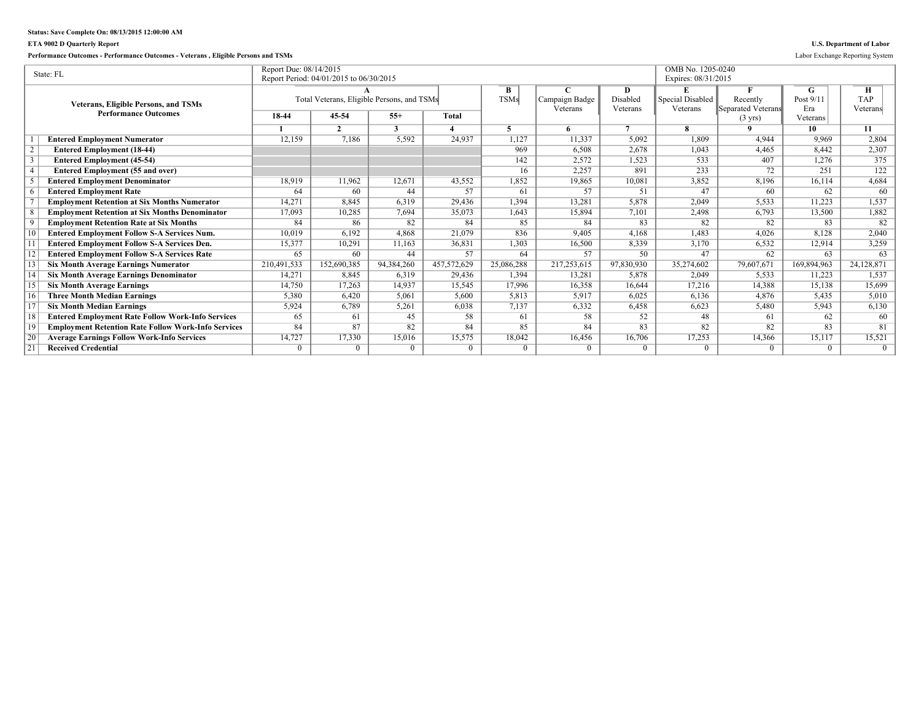## **Status: Save Complete On: 08/13/2015 12:00:00 AM**

## **ETA 9002 D Quarterly Report U.S. Department of Labor**

## **Performance Outcomes - Performance Outcomes - Veterans , Eligible Persons and TSMs** Labor Exchange Reporting System

|    | State: FL                                                  | Report Due: 08/14/2015 |                                            |            |              |             |                |            | OMB No. 1205-0240   |                    |             |            |
|----|------------------------------------------------------------|------------------------|--------------------------------------------|------------|--------------|-------------|----------------|------------|---------------------|--------------------|-------------|------------|
|    |                                                            |                        | Report Period: 04/01/2015 to 06/30/2015    |            |              |             |                |            | Expires: 08/31/2015 |                    |             |            |
|    |                                                            |                        |                                            |            |              | B           |                | D          | E                   |                    | G           | Н          |
|    | <b>Veterans, Eligible Persons, and TSMs</b>                |                        | Total Veterans, Eligible Persons, and TSMs |            |              | <b>TSMs</b> | Campaign Badge | Disabled   | Special Disabled    | Recently           | Post 9/11   | <b>TAP</b> |
|    | <b>Performance Outcomes</b>                                |                        |                                            |            |              |             | Veterans       | Veterans   | Veterans            | Separated Veterans | Era         | Veterans   |
|    |                                                            | 18-44                  | 45-54                                      | $55+$      | <b>Total</b> |             |                |            |                     | $(3 \text{ yrs})$  | Veterans    |            |
|    |                                                            |                        | $\mathcal{L}$                              | 3          |              |             |                |            | 8                   |                    | 10          | 11         |
|    | <b>Entered Employment Numerator</b>                        | 12,159                 | 7,186                                      | 5,592      | 24.937       | 1,127       | 11,337         | 5,092      | 1,809               | 4.944              | 9.969       | 2,804      |
|    | <b>Entered Employment (18-44)</b>                          |                        |                                            |            |              | 969         | 6.508          | 2,678      | 1,043               | 4,465              | 8.442       | 2,307      |
|    | <b>Entered Employment (45-54)</b>                          |                        |                                            |            |              | 142         | 2,572          | 1,523      | 533                 | 407                | 1,276       | 375        |
|    | <b>Entered Employment (55 and over)</b>                    |                        |                                            |            |              | 16          | 2,257          | 891        | 233                 | 72                 | 251         | 122        |
|    | <b>Entered Employment Denominator</b>                      | 18,919                 | 11,962                                     | 12,671     | 43,552       | 1,852       | 19,865         | 10,081     | 3,852               | 8,196              | 16,114      | 4,684      |
|    | <b>Entered Employment Rate</b>                             | 64                     | 60                                         | 44         | 57           | 61          | 57             | 51         | 47                  | 60                 | 62          | 60         |
|    | <b>Employment Retention at Six Months Numerator</b>        | 14,271                 | 8,845                                      | 6.319      | 29,436       | 1,394       | 13,281         | 5,878      | 2,049               | 5,533              | 11,223      | 1,537      |
|    | <b>Employment Retention at Six Months Denominator</b>      | 17.093                 | 10.285                                     | 7,694      | 35,073       | 1,643       | 15,894         | 7,101      | 2,498               | 6,793              | 13,500      | 1,882      |
|    | <b>Employment Retention Rate at Six Months</b>             | 84                     | 86                                         | 82         | 84           | 85          | 84             | 83         | 82                  | 82                 | 83          | 82         |
|    | <b>Entered Employment Follow S-A Services Num.</b>         | 10,019                 | 6,192                                      | 4.868      | 21,079       | 836         | 9.405          | 4,168      | 1,483               | 4,026              | 8,128       | 2,040      |
|    | <b>Entered Employment Follow S-A Services Den.</b>         | 15,377                 | 10.291                                     | 11,163     | 36,831       | 1,303       | 16,500         | 8,339      | 3,170               | 6,532              | 12,914      | 3,259      |
|    | <b>Entered Employment Follow S-A Services Rate</b>         | 65                     | 60                                         | 44         | 57           | 64          | 57             | 50         | 47                  | 62                 | 63          | 63         |
|    | <b>Six Month Average Earnings Numerator</b>                | 210,491,533            | 152,690,385                                | 94,384,260 | 457,572,629  | 25,086,288  | 217,253,615    | 97,830,930 | 35,274,602          | 79,607,671         | 169,894,963 | 24,128,871 |
|    | <b>Six Month Average Earnings Denominator</b>              | 14,271                 | 8.845                                      | 6.319      | 29,436       | 1.394       | 13.281         | 5.878      | 2.049               | 5,533              | 11.223      | 1,537      |
|    | <b>Six Month Average Earnings</b>                          | 14,750                 | 17,263                                     | 14,937     | 15,545       | 17,996      | 16,358         | 16,644     | 17,216              | 14,388             | 15,138      | 15,699     |
| 16 | <b>Three Month Median Earnings</b>                         | 5,380                  | 6.420                                      | 5,061      | 5.600        | 5,813       | 5,917          | 6,025      | 6,136               | 4,876              | 5,435       | 5,010      |
|    | <b>Six Month Median Earnings</b>                           | 5,924                  | 6,789                                      | 5,261      | 6,038        | 7,137       | 6,332          | 6,458      | 6,623               | 5,480              | 5,943       | 6,130      |
| 18 | <b>Entered Employment Rate Follow Work-Info Services</b>   | 65                     | 61                                         | 45         | 58           | 61          | 58             | 52         | 48                  | 61                 | 62          | 60         |
| 19 | <b>Employment Retention Rate Follow Work-Info Services</b> | 84                     | 87                                         | 82         | 84           | 85          | 84             | 83         | 82                  | 82                 | 83          | 81         |
| 20 | <b>Average Earnings Follow Work-Info Services</b>          | 14,727                 | 17,330                                     | 15,016     | 15,575       | 18,042      | 16,456         | 16,706     | 17,253              | 14,366             | 15,117      | 15,521     |
| 21 | <b>Received Credential</b>                                 | $\Omega$               | $\theta$                                   | $\theta$   | $\Omega$     | 0           | $\Omega$       | $\Omega$   |                     | $\Omega$           | 0           | $\Omega$   |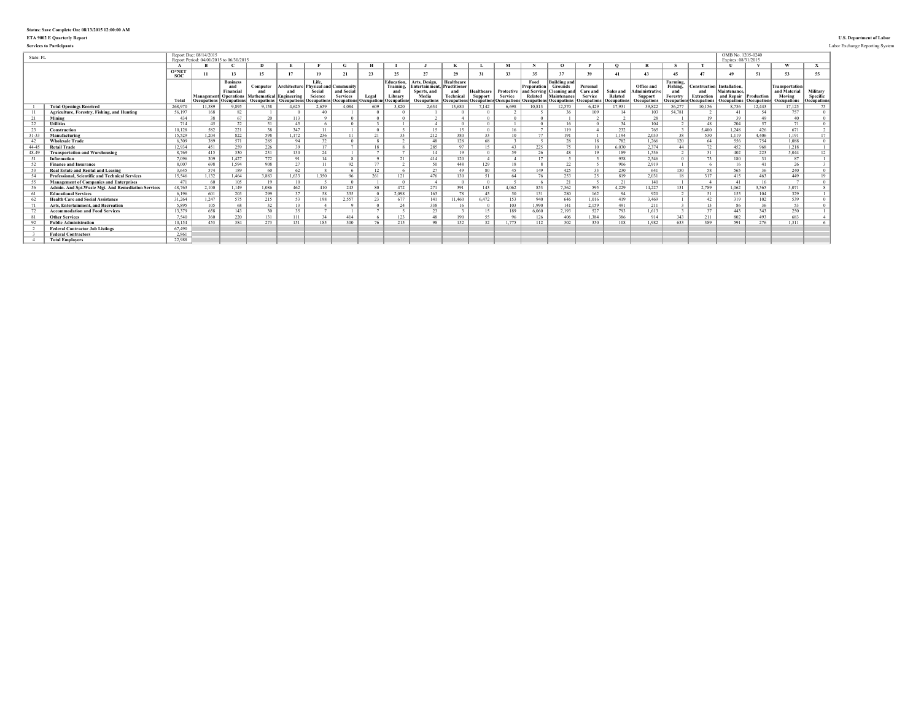# **Status: Save Complete On: 08/13/2015 12:00:00 AM**

### **ETA 9002 E Quarterly Report U.S. Department of Labor**

**Services to Participants** Labor Exchange Reporting System

| State: FL |                                                     |              | Report Due: 08/14/2015 | Report Period: 04/01/2015 to 06/30/2015                                                         |                                                     |                                           |                                                      |                                                                 |                     |                                                                        |                                                                                            |                                |                       |                                                                     |                                |                                                                                                             |                                                       |                                            |                                                                      |                                                        |                                                                                     | OMB No. 1205-0240<br>Expires: 08/31/2015                   |             |                                                                |                                             |
|-----------|-----------------------------------------------------|--------------|------------------------|-------------------------------------------------------------------------------------------------|-----------------------------------------------------|-------------------------------------------|------------------------------------------------------|-----------------------------------------------------------------|---------------------|------------------------------------------------------------------------|--------------------------------------------------------------------------------------------|--------------------------------|-----------------------|---------------------------------------------------------------------|--------------------------------|-------------------------------------------------------------------------------------------------------------|-------------------------------------------------------|--------------------------------------------|----------------------------------------------------------------------|--------------------------------------------------------|-------------------------------------------------------------------------------------|------------------------------------------------------------|-------------|----------------------------------------------------------------|---------------------------------------------|
|           |                                                     |              |                        |                                                                                                 |                                                     |                                           |                                                      | G                                                               |                     |                                                                        |                                                                                            |                                |                       | M                                                                   |                                | $\Omega$                                                                                                    |                                                       | $\Omega$                                   |                                                                      |                                                        |                                                                                     |                                                            |             | $\mathbf{u}$                                                   |                                             |
|           |                                                     | O*NET<br>soc | 11                     | 13                                                                                              | 15                                                  | 17                                        | 19                                                   | 21                                                              | 23                  | 25                                                                     | 27                                                                                         | 29                             | 31                    | 33                                                                  | 35                             | 37                                                                                                          | 39                                                    | 41                                         | 43                                                                   | $45^{\circ}$                                           | 47                                                                                  | 49                                                         | 51          | 53                                                             | 55                                          |
|           |                                                     | Total        | <b>Occupations</b>     | <b>Business</b><br>and<br><b>Financia</b><br><b>Management</b> Operations<br><b>Occupations</b> | Computer<br>Mathematical Engineering<br>Occupations | Architecture<br>and<br><b>Occupations</b> | Life.<br>Physical and Community<br>Social<br>Science | and Social<br><b>Services</b><br><b>Occupations Occupations</b> | Legal<br>Occupation | <b>Education.</b><br>Training.<br>and<br>Library<br><b>Occupations</b> | Arts, Design.<br><b>Entertainment. Practitioner</b><br>Sports, and<br>Media<br>Occupations | <b>Healthcare</b><br>Technical | Healthcare<br>Support | Protective<br>Service<br><b>Decupations Occupations Occupations</b> | Food<br>Preparation<br>Related | Building and<br><b>Grounds</b><br>and Serving Cleaning and<br>Maintenance<br><b>Occupations</b> Occupations | Personal<br>Care and<br>Service<br><b>Occupations</b> | Sales and<br>Related<br><b>Occupations</b> | Office and<br><b>Administrative</b><br><b>Support</b><br>Occupations | Farming,<br>Fishing.<br>and<br>Forestry<br>fOccupation | <b>Construction</b> Installation.<br>and<br><b>Extraction</b><br><b>Occupations</b> | Maintenance<br>and Repair Production<br><b>Occupations</b> | Occupation: | Transportation<br>and Material<br>Moving<br><b>Occupations</b> | <b>Military</b><br>Specific<br>Occupations, |
|           | <b>Total Openings Received</b>                      | 268.970      | 11,589                 | 9.895                                                                                           | 9,158                                               | 4,625                                     | 2.659                                                | 4.084                                                           | 609                 | 3,820                                                                  | 2.634                                                                                      | 13,680                         | 7,142                 | 6.698                                                               | 10,813                         | 12,570                                                                                                      | 6,429                                                 | 17,931                                     | 39,822                                                               | 56,277                                                 | 10,156                                                                              | 3,736                                                      | 12,443      | 17,125                                                         | 75                                          |
|           | Agriculture, Forestry, Fishing, and Hunting         | 56,197       | 168                    | 82                                                                                              |                                                     |                                           | 40                                                   |                                                                 |                     |                                                                        |                                                                                            |                                |                       |                                                                     |                                |                                                                                                             | 109                                                   |                                            | 103                                                                  | 54.781                                                 |                                                                                     | 41                                                         | -54         | 757                                                            | $\Omega$                                    |
|           | Mining                                              | 434          | 38                     | 67                                                                                              | 20                                                  | 113                                       |                                                      |                                                                 |                     |                                                                        |                                                                                            |                                |                       |                                                                     |                                |                                                                                                             |                                                       |                                            | 28                                                                   |                                                        | 19                                                                                  | 39                                                         | 49          | 40                                                             |                                             |
| 22        | <b>Utilities</b>                                    | 714          | 45                     | 22                                                                                              | 51                                                  | 45                                        |                                                      |                                                                 |                     |                                                                        |                                                                                            |                                |                       |                                                                     |                                | 16                                                                                                          |                                                       | 34                                         | 104                                                                  |                                                        | 48                                                                                  | 204                                                        | 57          | 71                                                             | $\Omega$                                    |
| 23        | Construction                                        | 10.128       | 582                    | 221                                                                                             | 38                                                  | 347                                       | 11                                                   |                                                                 |                     |                                                                        | 15                                                                                         | 15                             |                       | 16                                                                  |                                | 119                                                                                                         |                                                       | 232                                        | 765                                                                  |                                                        | 5.400                                                                               | 1,248                                                      | 426         | 671                                                            |                                             |
| $31 - 3$  | Manufacturing                                       | 15.529       | 1.204                  | 822                                                                                             | 598                                                 | 1.172                                     | 236                                                  |                                                                 | 21                  | 22                                                                     | 212                                                                                        | 380                            | 33                    | 10                                                                  | 77                             | 191                                                                                                         |                                                       | 1.194                                      | 2,033                                                                |                                                        | 530                                                                                 | 1.119                                                      | 4,406       | 1.191                                                          | 17                                          |
| 42        | <b>Wholesale Trade</b>                              | 6.309        | 389                    | 571                                                                                             | 285                                                 | 94                                        | 32                                                   |                                                                 |                     |                                                                        | 48                                                                                         | 128                            | 68                    |                                                                     |                                | 28                                                                                                          | 18                                                    | 782                                        | 1.266                                                                | 120                                                    | 64                                                                                  | 556                                                        | 754         | 1.088                                                          | $\Omega$                                    |
| 44-45     | <b>Retail Trade</b>                                 | 12.934       | 451                    | 259                                                                                             | 226                                                 | 39                                        | 17                                                   |                                                                 | 18                  |                                                                        | 285                                                                                        | 97                             | 15                    | 43                                                                  | 225                            | 75                                                                                                          | 10                                                    | 6.030                                      | 2.374                                                                | 44                                                     | 72                                                                                  | 452                                                        | 968         | 1.218                                                          |                                             |
| 48-49     | <b>Transportation and Warehousing</b>               | 8.769        | 415                    | 330                                                                                             | 231                                                 | 130                                       | 24                                                   |                                                                 |                     |                                                                        | 14                                                                                         | 19                             |                       | 59                                                                  | 26                             | 48                                                                                                          | 19                                                    | 189                                        | 1.536                                                                |                                                        | 31                                                                                  | 402                                                        | 223         | 5.044                                                          | 12                                          |
|           | Information                                         | 7 0 9 6      | 309                    | 1.427                                                                                           | 772                                                 | 91                                        | 14                                                   |                                                                 |                     |                                                                        | 414                                                                                        | 120                            |                       |                                                                     | 17                             |                                                                                                             |                                                       | 958                                        | 2.546                                                                |                                                        | 73                                                                                  | 180                                                        | 31          | 87                                                             |                                             |
| 52        | <b>Finance and Insurance</b>                        | 8.007        | 698                    | 1.594                                                                                           | 908                                                 | 27                                        |                                                      | 92                                                              | 77                  |                                                                        | 50                                                                                         | 448                            | 129                   | 18                                                                  |                                | 22                                                                                                          |                                                       | 906                                        | 2,919                                                                |                                                        |                                                                                     | 16                                                         | 41          | 26                                                             |                                             |
|           | <b>Real Estate and Rental and Leasing</b>           | 3.645        | 574                    | 189                                                                                             | 60                                                  | 62                                        |                                                      |                                                                 | 12                  |                                                                        | 27                                                                                         | 49                             | 80                    | 45                                                                  | 149                            | 425                                                                                                         | 33                                                    | 230                                        | 641                                                                  | 150                                                    | 58                                                                                  | 565                                                        | 36          | 240                                                            | $\Omega$                                    |
|           | Professional, Scientific and Technical Services     | 15.546       | 1,132                  | 1.464                                                                                           | 3.883                                               | 1.633                                     | 1.350                                                | 96                                                              | 261                 | 121                                                                    | 476                                                                                        | 130                            | 51                    | 64                                                                  | 76                             | 253                                                                                                         | 25                                                    | 819                                        | 2.031                                                                | 18                                                     | 317                                                                                 | 415                                                        | 463         | 449                                                            | 19                                          |
| 55        | <b>Management of Companies and Enterprises</b>      | 471          | 60                     | 105                                                                                             | 19                                                  | 10                                        |                                                      |                                                                 |                     |                                                                        |                                                                                            |                                |                       |                                                                     |                                | 21                                                                                                          |                                                       | 21                                         | 140                                                                  |                                                        |                                                                                     | 41                                                         | 16          |                                                                |                                             |
|           | Admin. And Spt. Waste Mgt. And Remediation Services | 48.763       | 2,100                  | 1.149                                                                                           | 1,086                                               | 462                                       | 410                                                  | 245                                                             | 80                  | 472                                                                    | 271                                                                                        | 391                            | 143                   | 4,062                                                               | 853                            | 7,362                                                                                                       | 595                                                   | 4,229                                      | 14,227                                                               | 131                                                    | 2,789                                                                               | 1,062                                                      | 3,565       | 3,071                                                          |                                             |
|           | <b>Educational Services</b>                         | 6.196        | 601                    | 203                                                                                             | 299                                                 | 37                                        | 58                                                   | 335                                                             |                     | 2.098                                                                  | 163                                                                                        | 78                             | 45                    | 50                                                                  | 131                            | 280                                                                                                         | 162                                                   | 94                                         | 920                                                                  |                                                        | 51                                                                                  | 155                                                        | 104         | 329                                                            |                                             |
|           | <b>Health Care and Social Assistance</b>            | 31.264       | 1,247                  | 575                                                                                             | 215                                                 | 53                                        | 198                                                  | 2,557                                                           | $23 -$              | 677                                                                    | 141                                                                                        | 11.460                         | 6,472                 | 153                                                                 | 940                            | 646                                                                                                         | 1.016                                                 | 419                                        | 3,469                                                                |                                                        | 42                                                                                  | 319                                                        | 102         | 539                                                            |                                             |
|           | Arts, Entertainment, and Recreation                 | 5.895        | 105                    | 68                                                                                              | 32                                                  | 13                                        |                                                      |                                                                 |                     | 24                                                                     | 338                                                                                        |                                |                       | 103                                                                 | 1 9 9 0                        | 141                                                                                                         | 2.159                                                 | 491                                        | 211                                                                  |                                                        | 13                                                                                  | 86                                                         | 36          | 53                                                             |                                             |
|           | <b>Accommodation and Food Services</b>              | 13.379       | 658                    | 143                                                                                             | 30                                                  | 35                                        |                                                      |                                                                 |                     |                                                                        | 23                                                                                         |                                | 15                    | 189                                                                 | 6.060                          | 2,193                                                                                                       | 527                                                   | 793                                        | 1,613                                                                |                                                        | 37                                                                                  | 443                                                        | 343         | 250                                                            |                                             |
|           | <b>Other Services</b>                               | 7.540        | 360                    | 220                                                                                             | 131                                                 | 111                                       | 34                                                   | 414                                                             |                     | 123                                                                    | 48                                                                                         | 190                            | 55                    | 96                                                                  | 126                            | 406                                                                                                         | 1.384                                                 | 386                                        | 914                                                                  | 343                                                    | 211                                                                                 | 802                                                        | 493         | 683                                                            |                                             |
| 92        | <b>Public Administration</b>                        | 10.154       | 453                    | 384                                                                                             | 273                                                 | 151                                       | 185                                                  | 300                                                             |                     | 215                                                                    | 98                                                                                         | 152                            | 32                    | 1 775                                                               | 112                            | 302                                                                                                         | 350                                                   | 108                                        | 1.982                                                                | 633                                                    | 389                                                                                 | 591                                                        | 276         | 1.311                                                          |                                             |
|           | <b>Federal Contractor Job Listings</b>              | 67.490       |                        |                                                                                                 |                                                     |                                           |                                                      |                                                                 |                     |                                                                        |                                                                                            |                                |                       |                                                                     |                                |                                                                                                             |                                                       |                                            |                                                                      |                                                        |                                                                                     |                                                            |             |                                                                |                                             |
|           | <b>Federal Contractors</b>                          | 2.861        |                        |                                                                                                 |                                                     |                                           |                                                      |                                                                 |                     |                                                                        |                                                                                            |                                |                       |                                                                     |                                |                                                                                                             |                                                       |                                            |                                                                      |                                                        |                                                                                     |                                                            |             |                                                                |                                             |
|           | <b>Total Employers</b>                              | 22.988       |                        |                                                                                                 |                                                     |                                           |                                                      |                                                                 |                     |                                                                        |                                                                                            |                                |                       |                                                                     |                                |                                                                                                             |                                                       |                                            |                                                                      |                                                        |                                                                                     |                                                            |             |                                                                |                                             |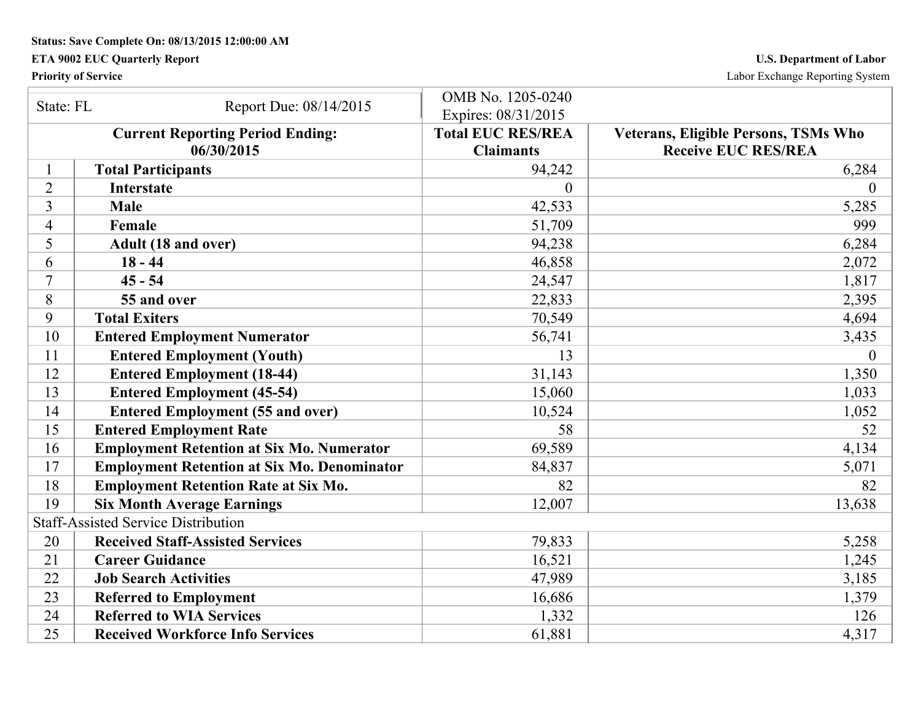**Status: Save Complete On: 08/13/2015 12:00:00 AM** 

## **ETA 9002 EUC Quarterly Report U.S. Department of Labor**

**Priority of Service** Labor Exchange Reporting System

| State: FL      |                                                    | OMB No. 1205-0240        |                                             |
|----------------|----------------------------------------------------|--------------------------|---------------------------------------------|
|                | Report Due: 08/14/2015                             | Expires: 08/31/2015      |                                             |
|                | <b>Current Reporting Period Ending:</b>            | <b>Total EUC RES/REA</b> | <b>Veterans, Eligible Persons, TSMs Who</b> |
|                | 06/30/2015                                         | <b>Claimants</b>         | <b>Receive EUC RES/REA</b>                  |
|                | <b>Total Participants</b>                          | 94,242                   | 6,284                                       |
| 2              | <b>Interstate</b>                                  | $\Omega$                 | 0                                           |
| 3              | <b>Male</b>                                        | 42,533                   | 5,285                                       |
| $\overline{4}$ | Female                                             | 51,709                   | 999                                         |
| 5              | Adult (18 and over)                                | 94,238                   | 6,284                                       |
| 6              | $18 - 44$                                          | 46,858                   | 2,072                                       |
| 7              | $45 - 54$                                          | 24,547                   | 1,817                                       |
| 8              | 55 and over                                        | 22,833                   | 2,395                                       |
| 9              | <b>Total Exiters</b>                               | 70,549                   | 4,694                                       |
| 10             | <b>Entered Employment Numerator</b>                | 56,741                   | 3,435                                       |
| 11             | <b>Entered Employment (Youth)</b>                  | 13                       | $\overline{0}$                              |
| 12             | <b>Entered Employment (18-44)</b>                  | 31,143                   | 1,350                                       |
| 13             | <b>Entered Employment (45-54)</b>                  | 15,060                   | 1,033                                       |
| 14             | <b>Entered Employment (55 and over)</b>            | 10,524                   | 1,052                                       |
| 15             | <b>Entered Employment Rate</b>                     | 58                       | 52                                          |
| 16             | <b>Employment Retention at Six Mo. Numerator</b>   | 69,589                   | 4,134                                       |
| 17             | <b>Employment Retention at Six Mo. Denominator</b> | 84,837                   | 5,071                                       |
| 18             | <b>Employment Retention Rate at Six Mo.</b>        | 82                       | 82                                          |
| 19             | <b>Six Month Average Earnings</b>                  | 12,007                   | 13,638                                      |
|                | <b>Staff-Assisted Service Distribution</b>         |                          |                                             |
| 20             | <b>Received Staff-Assisted Services</b>            | 79,833                   | 5,258                                       |
| 21             | <b>Career Guidance</b>                             | 16,521                   | 1,245                                       |
| 22             | <b>Job Search Activities</b>                       | 47,989                   | 3,185                                       |
| 23             | <b>Referred to Employment</b>                      | 16,686                   | 1,379                                       |
| 24             | <b>Referred to WIA Services</b>                    | 1,332                    | 126                                         |
| 25             | <b>Received Workforce Info Services</b>            | 61,881                   | 4,317                                       |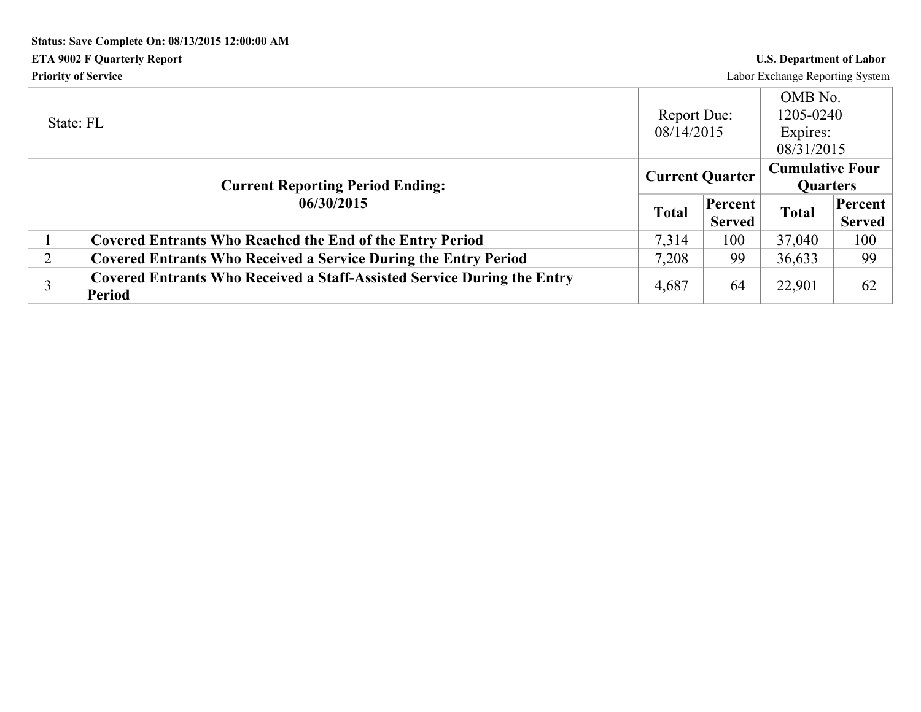# **Status: Save Complete On: 08/13/2015 12:00:00 AM ETA 9002 F Quarterly Report U.S. Department of Labor Priority of Service** Labor Exchange Reporting System

|                | State: FL                                                                                       | Report Due:<br>08/14/2015 |                          | OMB No.<br>1205-0240<br>Expires:<br>08/31/2015 |                          |
|----------------|-------------------------------------------------------------------------------------------------|---------------------------|--------------------------|------------------------------------------------|--------------------------|
|                | <b>Current Reporting Period Ending:</b>                                                         | <b>Current Quarter</b>    |                          | <b>Cumulative Four</b><br><b>Quarters</b>      |                          |
|                | 06/30/2015                                                                                      | <b>Total</b>              | Percent<br><b>Served</b> | <b>Total</b>                                   | Percent<br><b>Served</b> |
|                | <b>Covered Entrants Who Reached the End of the Entry Period</b>                                 | 7.314                     | 100                      | 37,040                                         | 100                      |
| $\overline{2}$ | <b>Covered Entrants Who Received a Service During the Entry Period</b>                          | 7,208                     | 99                       | 36,633                                         | 99                       |
|                | <b>Covered Entrants Who Received a Staff-Assisted Service During the Entry</b><br><b>Period</b> | 4,687                     | 64                       | 22,901                                         | 62                       |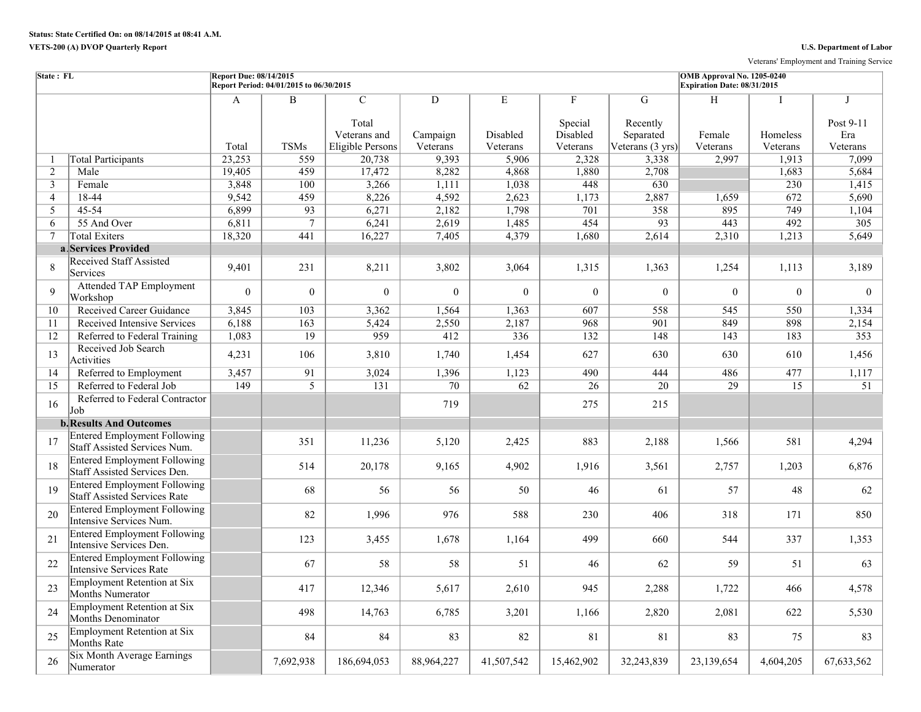Veterans' Employment and Training Service

| State: FL      |                                                                     | <b>Report Due: 08/14/2015</b> | Report Period: 04/01/2015 to 06/30/2015 |                                         |               |               |                                     |                            | OMB Approval No. 1205-0240<br>Expiration Date: 08/31/2015 |                 |                       |
|----------------|---------------------------------------------------------------------|-------------------------------|-----------------------------------------|-----------------------------------------|---------------|---------------|-------------------------------------|----------------------------|-----------------------------------------------------------|-----------------|-----------------------|
|                |                                                                     | A                             | B                                       | $\overline{C}$<br>Total<br>Veterans and | D<br>Campaign | E<br>Disabled | $\mathbf{F}$<br>Special<br>Disabled | G<br>Recently<br>Separated | H<br>Female                                               | Homeless        | J<br>Post 9-11<br>Era |
|                |                                                                     | Total                         | <b>TSMs</b>                             | Eligible Persons                        | Veterans      | Veterans      | Veterans                            | Veterans (3 yrs)           | Veterans                                                  | Veterans        | Veterans              |
| -1             | <b>Total Participants</b>                                           | 23,253                        | 559                                     | 20,738                                  | 9,393         | 5,906         | 2,328                               | 3,338                      | 2,997                                                     | 1,913           | 7,099                 |
| $\overline{c}$ | Male                                                                | 19,405                        | 459                                     | 17,472                                  | 8,282         | 4,868         | 1,880                               | 2,708                      |                                                           | 1,683           | 5,684                 |
| 3              | Female                                                              | 3,848                         | 100                                     | 3,266                                   | 1,111         | 1,038         | 448                                 | 630                        |                                                           | 230             | 1,415                 |
| $\overline{4}$ | 18-44                                                               | 9,542                         | 459                                     | 8,226                                   | 4,592         | 2,623         | 1,173                               | 2,887                      | 1,659                                                     | 672             | 5,690                 |
| 5              | 45-54                                                               | 6,899                         | 93                                      | 6,271                                   | 2,182         | 1,798         | 701                                 | 358                        | 895                                                       | 749             | 1,104                 |
| 6              | 55 And Over                                                         | 6,811                         | $7\phantom{.0}$                         | 6,241                                   | 2,619         | 1,485         | 454                                 | $\overline{93}$            | 443                                                       | 492             | 305                   |
| $\overline{7}$ | <b>Total Exiters</b>                                                | 18,320                        | 441                                     | 16,227                                  | 7,405         | 4,379         | 1,680                               | 2,614                      | 2,310                                                     | 1,213           | 5,649                 |
|                | a Services Provided                                                 |                               |                                         |                                         |               |               |                                     |                            |                                                           |                 |                       |
| 8              | <b>Received Staff Assisted</b><br>Services                          | 9,401                         | 231                                     | 8,211                                   | 3,802         | 3,064         | 1,315                               | 1,363                      | 1,254                                                     | 1,113           | 3,189                 |
| 9              | <b>Attended TAP Employment</b><br>Workshop                          | $\Omega$                      | $\mathbf{0}$                            | $\theta$                                | $\mathbf{0}$  | $\mathbf{0}$  | $\boldsymbol{0}$                    | $\overline{0}$             | $\theta$                                                  | $\overline{0}$  | $\overline{0}$        |
| 10             | <b>Received Career Guidance</b>                                     | 3,845                         | 103                                     | 3,362                                   | 1,564         | 1,363         | 607                                 | 558                        | 545                                                       | 550             | 1,334                 |
| 11             | Received Intensive Services                                         | 6,188                         | 163                                     | 5,424                                   | 2,550         | 2,187         | 968                                 | 901                        | 849                                                       | 898             | 2,154                 |
| 12             | Referred to Federal Training                                        | 1,083                         | 19                                      | 959                                     | 412           | 336           | 132                                 | 148                        | 143                                                       | 183             | 353                   |
| 13             | Received Job Search<br>Activities                                   | 4,231                         | 106                                     | 3,810                                   | 1,740         | 1,454         | 627                                 | 630                        | 630                                                       | 610             | 1,456                 |
| 14             | Referred to Employment                                              | 3,457                         | 91                                      | 3,024                                   | 1,396         | 1,123         | 490                                 | 444                        | 486                                                       | 477             | 1,117                 |
| 15             | Referred to Federal Job                                             | 149                           | $\overline{5}$                          | 131                                     | 70            | 62            | 26                                  | $\overline{20}$            | 29                                                        | $\overline{15}$ | 51                    |
| 16             | Referred to Federal Contractor<br>Job                               |                               |                                         |                                         | 719           |               | 275                                 | 215                        |                                                           |                 |                       |
|                | <b>b.</b> Results And Outcomes                                      |                               |                                         |                                         |               |               |                                     |                            |                                                           |                 |                       |
| 17             | <b>Entered Employment Following</b><br>Staff Assisted Services Num. |                               | 351                                     | 11,236                                  | 5,120         | 2,425         | 883                                 | 2,188                      | 1,566                                                     | 581             | 4,294                 |
| 18             | <b>Entered Employment Following</b><br>Staff Assisted Services Den. |                               | 514                                     | 20,178                                  | 9,165         | 4,902         | 1,916                               | 3,561                      | 2,757                                                     | 1,203           | 6,876                 |
| 19             | <b>Entered Employment Following</b><br>Staff Assisted Services Rate |                               | 68                                      | 56                                      | 56            | 50            | 46                                  | 61                         | 57                                                        | 48              | 62                    |
| 20             | <b>Entered Employment Following</b><br>Intensive Services Num.      |                               | 82                                      | 1,996                                   | 976           | 588           | 230                                 | 406                        | 318                                                       | 171             | 850                   |
| 21             | <b>Entered Employment Following</b><br>Intensive Services Den.      |                               | 123                                     | 3,455                                   | 1,678         | 1,164         | 499                                 | 660                        | 544                                                       | 337             | 1,353                 |
| 22             | <b>Entered Employment Following</b><br>Intensive Services Rate      |                               | 67                                      | 58                                      | 58            | 51            | 46                                  | 62                         | 59                                                        | 51              | 63                    |
| 23             | Employment Retention at Six<br>Months Numerator                     |                               | 417                                     | 12,346                                  | 5,617         | 2,610         | 945                                 | 2,288                      | 1,722                                                     | 466             | 4,578                 |
| 24             | <b>Employment Retention at Six</b><br>Months Denominator            |                               | 498                                     | 14,763                                  | 6,785         | 3,201         | 1,166                               | 2,820                      | 2,081                                                     | 622             | 5,530                 |
| 25             | Employment Retention at Six<br><b>Months Rate</b>                   |                               | 84                                      | 84                                      | 83            | 82            | 81                                  | 81                         | 83                                                        | 75              | 83                    |
| 26             | Six Month Average Earnings<br>Numerator                             |                               | 7,692,938                               | 186,694,053                             | 88,964,227    | 41,507,542    | 15,462,902                          | 32,243,839                 | 23,139,654                                                | 4,604,205       | 67,633,562            |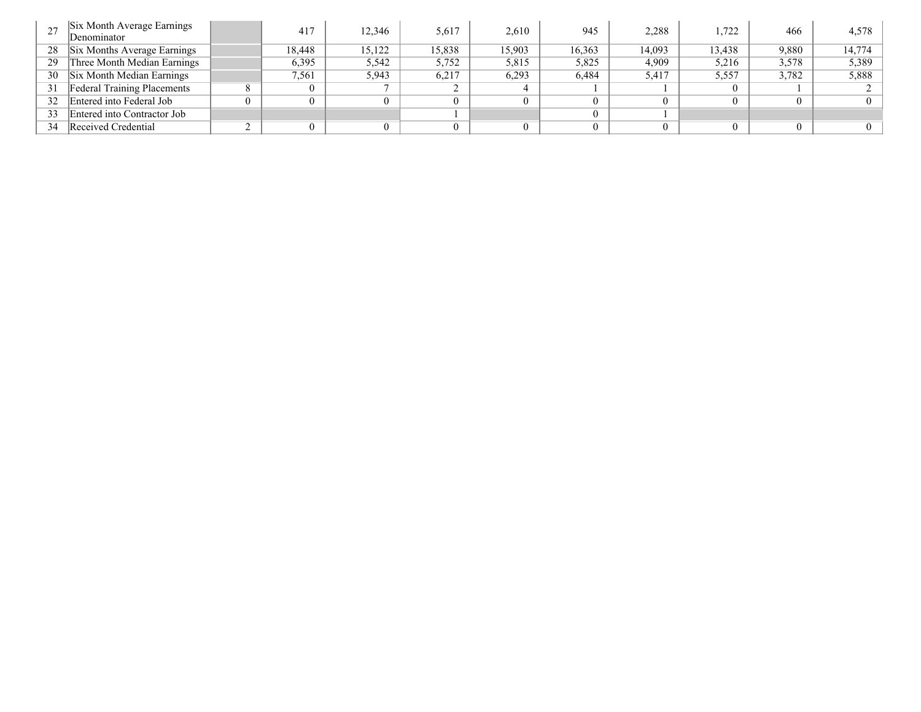|    | Six Month Average Earnings<br>Denominator | 417    | 12.346 | 5,617  | 2,610  | 945    | 2,288  | 1,722  | 466   | 4,578    |
|----|-------------------------------------------|--------|--------|--------|--------|--------|--------|--------|-------|----------|
| 28 | Six Months Average Earnings               | 18.448 | 15,122 | 15,838 | 15,903 | 16,363 | 14,093 | 13,438 | 9,880 | 14,774   |
| 29 | Three Month Median Earnings               | 6,395  | 5,542  | 5,752  | 5,815  | 5,825  | 4,909  | 5,216  | 3,578 | 5,389    |
| 30 | Six Month Median Earnings                 | 1.561  | 5,943  | 6,217  | 6,293  | 6,484  | 5.417  | 5,557  | 3,782 | 5,888    |
| 31 | <b>Federal Training Placements</b>        |        |        |        |        |        |        | 0      |       |          |
| 32 | Entered into Federal Job                  |        |        |        |        |        |        |        |       | $\Omega$ |
| 33 | Entered into Contractor Job               |        |        |        |        |        |        |        |       |          |
| 34 | Received Credential                       |        |        |        |        |        |        |        |       | $\Omega$ |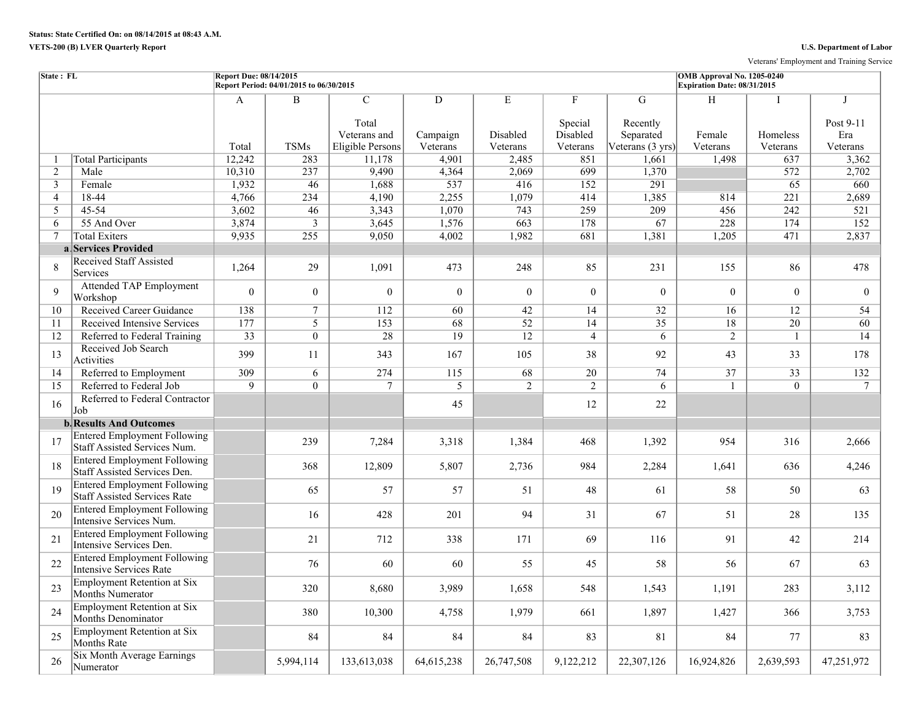Veterans' Employment and Training Service

| State: FL         |                                                                            | Report Due: 08/14/2015 | Report Period: 04/01/2015 to 06/30/2015 |                                                             |                           |                           |                                      |                                                          | OMB Approval No. 1205-0240<br>Expiration Date: 08/31/2015 |                      |                              |
|-------------------|----------------------------------------------------------------------------|------------------------|-----------------------------------------|-------------------------------------------------------------|---------------------------|---------------------------|--------------------------------------|----------------------------------------------------------|-----------------------------------------------------------|----------------------|------------------------------|
|                   |                                                                            | A<br>Total             | $\mathbf B$<br><b>TSMs</b>              | $\overline{C}$<br>Total<br>Veterans and<br>Eligible Persons | D<br>Campaign<br>Veterans | E<br>Disabled<br>Veterans | F<br>Special<br>Disabled<br>Veterans | G<br>Recently<br>Separated<br>Veterans $(3 \text{ yrs})$ | H<br>Female<br>Veterans                                   | Homeless<br>Veterans | Post 9-11<br>Era<br>Veterans |
| 1                 | <b>Total Participants</b>                                                  | 12,242                 | 283                                     | 11,178                                                      | 4,901                     | 2,485                     | 851                                  | 1,661                                                    | 1,498                                                     | 637                  | 3,362                        |
| $\overline{2}$    | Male                                                                       | 10,310                 | 237                                     | 9,490                                                       | 4,364                     | 2,069                     | 699                                  | 1,370                                                    |                                                           | 572                  | 2,702                        |
| $\overline{3}$    | Female                                                                     | 1,932                  | 46                                      | 1,688                                                       | 537                       | 416                       | 152                                  | 291                                                      |                                                           | 65                   | 660                          |
| $\overline{4}$    | 18-44                                                                      | 4,766                  | 234                                     | 4,190                                                       | 2,255                     | 1,079                     | 414                                  | 1,385                                                    | 814                                                       | $\overline{221}$     | 2,689                        |
| 5                 | 45-54                                                                      | 3,602                  | 46                                      | 3,343                                                       | 1,070                     | 743                       | 259                                  | 209                                                      | 456                                                       | 242                  | 521                          |
| 6                 | 55 And Over                                                                | 3,874                  | $\overline{3}$                          | 3,645                                                       | 1,576                     | 663                       | 178                                  | $\overline{67}$                                          | 228                                                       | 174                  | 152                          |
| $\overline{\tau}$ | <b>Total Exiters</b>                                                       | 9,935                  | 255                                     | 9,050                                                       | 4,002                     | 1,982                     | 681                                  | 1,381                                                    | 1,205                                                     | 471                  | 2,837                        |
|                   | a Services Provided                                                        |                        |                                         |                                                             |                           |                           |                                      |                                                          |                                                           |                      |                              |
| 8                 | <b>Received Staff Assisted</b><br>Services                                 | 1,264                  | 29                                      | 1,091                                                       | 473                       | 248                       | 85                                   | 231                                                      | 155                                                       | 86                   | 478                          |
| 9                 | <b>Attended TAP Employment</b><br>Workshop                                 | $\theta$               | $\overline{0}$                          | $\mathbf{0}$                                                | $\theta$                  | $\theta$                  | $\theta$                             | $\theta$                                                 | $\Omega$                                                  | $\theta$             | $\theta$                     |
| 10                | <b>Received Career Guidance</b>                                            | 138                    | $\tau$                                  | 112                                                         | 60                        | 42                        | 14                                   | 32                                                       | 16                                                        | 12                   | 54                           |
| 11                | Received Intensive Services                                                | 177                    | 5                                       | 153                                                         | 68                        | $\overline{52}$           | 14                                   | 35                                                       | 18                                                        | 20                   | 60                           |
| 12                | Referred to Federal Training                                               | 33                     | $\overline{0}$                          | 28                                                          | $\overline{19}$           | 12                        | $\overline{4}$                       | 6                                                        | $\overline{2}$                                            | $\mathbf{1}$         | 14                           |
| 13                | Received Job Search<br>Activities                                          | 399                    | 11                                      | 343                                                         | 167                       | 105                       | 38                                   | 92                                                       | 43                                                        | 33                   | 178                          |
| 14                | Referred to Employment                                                     | 309                    | 6                                       | 274                                                         | 115                       | 68                        | $\overline{20}$                      | 74                                                       | 37                                                        | $\overline{33}$      | 132                          |
| 15                | Referred to Federal Job                                                    | $\overline{9}$         | $\overline{0}$                          | $\overline{7}$                                              | $\overline{5}$            | 2                         | $\overline{2}$                       | 6                                                        | 1                                                         | $\overline{0}$       | 7                            |
| 16                | Referred to Federal Contractor<br>Job                                      |                        |                                         |                                                             | 45                        |                           | 12                                   | 22                                                       |                                                           |                      |                              |
|                   | <b>b. Results And Outcomes</b>                                             |                        |                                         |                                                             |                           |                           |                                      |                                                          |                                                           |                      |                              |
| 17                | <b>Entered Employment Following</b><br>Staff Assisted Services Num.        |                        | 239                                     | 7,284                                                       | 3,318                     | 1,384                     | 468                                  | 1,392                                                    | 954                                                       | 316                  | 2,666                        |
| 18                | <b>Entered Employment Following</b><br>Staff Assisted Services Den.        |                        | 368                                     | 12,809                                                      | 5,807                     | 2,736                     | 984                                  | 2,284                                                    | 1,641                                                     | 636                  | 4,246                        |
| 19                | <b>Entered Employment Following</b><br><b>Staff Assisted Services Rate</b> |                        | 65                                      | 57                                                          | 57                        | 51                        | 48                                   | 61                                                       | 58                                                        | 50                   | 63                           |
| 20                | <b>Entered Employment Following</b><br>Intensive Services Num.             |                        | 16                                      | 428                                                         | 201                       | 94                        | 31                                   | 67                                                       | 51                                                        | 28                   | 135                          |
| 21                | <b>Entered Employment Following</b><br>Intensive Services Den.             |                        | 21                                      | 712                                                         | 338                       | 171                       | 69                                   | 116                                                      | 91                                                        | 42                   | 214                          |
| 22                | <b>Entered Employment Following</b><br>Intensive Services Rate             |                        | 76                                      | 60                                                          | 60                        | 55                        | 45                                   | 58                                                       | 56                                                        | 67                   | 63                           |
| 23                | <b>Employment Retention at Six</b><br>Months Numerator                     |                        | 320                                     | 8,680                                                       | 3,989                     | 1,658                     | 548                                  | 1,543                                                    | 1,191                                                     | 283                  | 3,112                        |
| 24                | <b>Employment Retention at Six</b><br>Months Denominator                   |                        | 380                                     | 10,300                                                      | 4,758                     | 1,979                     | 661                                  | 1,897                                                    | 1,427                                                     | 366                  | 3,753                        |
| 25                | <b>Employment Retention at Six</b><br>Months Rate                          |                        | 84                                      | 84                                                          | 84                        | 84                        | 83                                   | 81                                                       | 84                                                        | 77                   | 83                           |
| 26                | <b>Six Month Average Earnings</b><br>Numerator                             |                        | 5,994,114                               | 133,613,038                                                 | 64, 615, 238              | 26,747,508                | 9,122,212                            | 22,307,126                                               | 16,924,826                                                | 2,639,593            | 47,251,972                   |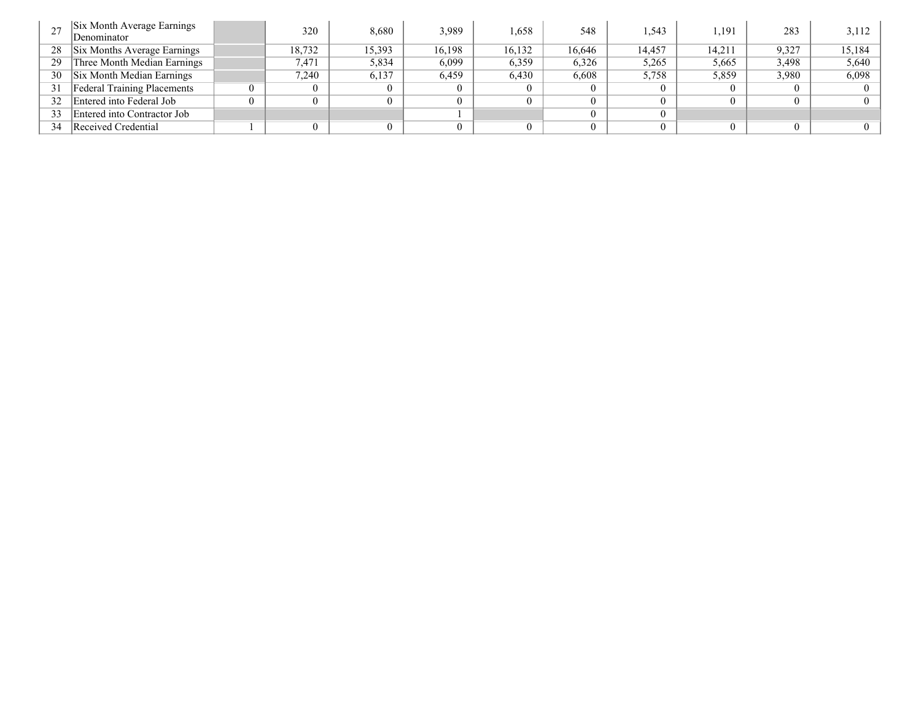|    | Six Month Average Earnings<br>Denominator | 320    | 8,680  | 3.989  | 1,658  | 548    | .543   | .191   | 283   | 3,112  |
|----|-------------------------------------------|--------|--------|--------|--------|--------|--------|--------|-------|--------|
| 28 | Six Months Average Earnings               | 18,732 | 15.393 | 16,198 | 16,132 | 16,646 | 14,457 | 14,211 | 9,327 | 15,184 |
| 29 | Three Month Median Earnings               | 7.471  | 5,834  | 6,099  | 6,359  | 6,326  | 5,265  | 5,665  | 3,498 | 5,640  |
| 30 | Six Month Median Earnings                 | 7.240  | 6.137  | 6.459  | 6,430  | 6,608  | 5,758  | 5,859  | 3.980 | 6,098  |
| 31 | <b>Federal Training Placements</b>        |        |        |        |        |        |        |        |       |        |
| 32 | Entered into Federal Job                  |        |        |        |        |        |        |        |       |        |
| 33 | Entered into Contractor Job               |        |        |        |        |        |        |        |       |        |
| 34 | Received Credential                       |        |        |        |        |        |        |        |       |        |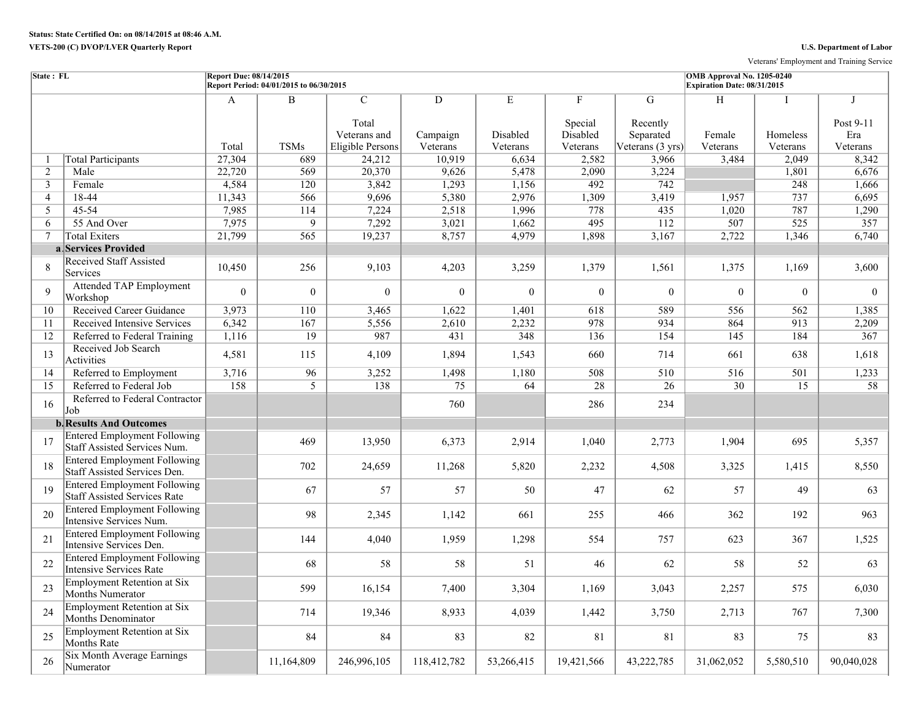Veterans' Employment and Training Service

| State: FL      |                                                                            | <b>Report Due: 08/14/2015</b> | Report Period: 04/01/2015 to 06/30/2015 |                                                             |                           |                           |                                      |                                                | OMB Approval No. 1205-0240<br>Expiration Date: 08/31/2015 |                      |                                   |
|----------------|----------------------------------------------------------------------------|-------------------------------|-----------------------------------------|-------------------------------------------------------------|---------------------------|---------------------------|--------------------------------------|------------------------------------------------|-----------------------------------------------------------|----------------------|-----------------------------------|
|                |                                                                            | A<br>Total                    | $\overline{B}$<br><b>TSMs</b>           | $\overline{C}$<br>Total<br>Veterans and<br>Eligible Persons | D<br>Campaign<br>Veterans | E<br>Disabled<br>Veterans | F<br>Special<br>Disabled<br>Veterans | G<br>Recently<br>Separated<br>Veterans (3 yrs) | H<br>Female<br>Veterans                                   | Homeless<br>Veterans | J<br>Post 9-11<br>Era<br>Veterans |
| 1              | <b>Total Participants</b>                                                  | 27,304                        | 689                                     | 24,212                                                      | 10,919                    | 6,634                     | 2,582                                | 3,966                                          | 3,484                                                     | 2,049                | 8,342                             |
| 2              | Male                                                                       | 22,720                        | 569                                     | 20,370                                                      | 9,626                     | 5,478                     | 2,090                                | 3,224                                          |                                                           | 1,801                | 6,676                             |
| $\mathbf{3}$   | Female                                                                     | 4,584                         | 120                                     | 3,842                                                       | 1,293                     | 1,156                     | 492                                  | 742                                            |                                                           | 248                  | 1,666                             |
| $\overline{4}$ | 18-44                                                                      | 11,343                        | 566                                     | 9,696                                                       | 5,380                     | 2,976                     | 1,309                                | 3,419                                          | 1,957                                                     | 737                  | 6,695                             |
| 5              | 45-54                                                                      | 7,985                         | 114                                     | 7,224                                                       | 2,518                     | 1,996                     | 778                                  | 435                                            | 1,020                                                     | 787                  | 1,290                             |
| 6              | 55 And Over                                                                | 7,975                         | 9                                       | 7,292                                                       | 3,021                     | 1,662                     | 495                                  | 112                                            | 507                                                       | $\overline{525}$     | 357                               |
| $\tau$         | <b>Total Exiters</b>                                                       | 21,799                        | 565                                     | 19,237                                                      | 8,757                     | 4,979                     | 1,898                                | 3,167                                          | 2,722                                                     | 1,346                | 6,740                             |
|                | a Services Provided                                                        |                               |                                         |                                                             |                           |                           |                                      |                                                |                                                           |                      |                                   |
| 8              | <b>Received Staff Assisted</b><br>Services                                 | 10,450                        | 256                                     | 9,103                                                       | 4,203                     | 3,259                     | 1,379                                | 1,561                                          | 1,375                                                     | 1,169                | 3,600                             |
| 9              | <b>Attended TAP Employment</b><br>Workshop                                 | $\overline{0}$                | $\mathbf{0}$                            | $\theta$                                                    | $\mathbf{0}$              | $\overline{0}$            | $\theta$                             | $\theta$                                       | $\Omega$                                                  | $\theta$             | $\theta$                          |
| 10             | Received Career Guidance                                                   | 3,973                         | 110                                     | 3,465                                                       | 1,622                     | 1,401                     | 618                                  | 589                                            | 556                                                       | 562                  | 1,385                             |
| 11             | Received Intensive Services                                                | 6,342                         | 167                                     | 5,556                                                       | 2,610                     | 2,232                     | 978                                  | 934                                            | 864                                                       | 913                  | 2,209                             |
| 12             | Referred to Federal Training                                               | 1,116                         | 19                                      | 987                                                         | 431                       | 348                       | 136                                  | 154                                            | 145                                                       | 184                  | 367                               |
| 13             | Received Job Search<br>Activities                                          | 4,581                         | 115                                     | 4,109                                                       | 1,894                     | 1,543                     | 660                                  | 714                                            | 661                                                       | 638                  | 1,618                             |
| 14             | Referred to Employment                                                     | 3,716                         | 96                                      | 3,252                                                       | 1,498                     | 1,180                     | 508                                  | 510                                            | 516                                                       | 501                  | 1,233                             |
| 15             | Referred to Federal Job                                                    | $\overline{158}$              | 5                                       | 138                                                         | 75                        | $\overline{64}$           | 28                                   | $\overline{26}$                                | $\overline{30}$                                           | $\overline{15}$      | 58                                |
| 16             | Referred to Federal Contractor<br>Job                                      |                               |                                         |                                                             | 760                       |                           | 286                                  | 234                                            |                                                           |                      |                                   |
|                | <b>b. Results And Outcomes</b>                                             |                               |                                         |                                                             |                           |                           |                                      |                                                |                                                           |                      |                                   |
| 17             | <b>Entered Employment Following</b><br>Staff Assisted Services Num.        |                               | 469                                     | 13,950                                                      | 6,373                     | 2,914                     | 1,040                                | 2,773                                          | 1,904                                                     | 695                  | 5,357                             |
| 18             | <b>Entered Employment Following</b><br>Staff Assisted Services Den.        |                               | 702                                     | 24,659                                                      | 11,268                    | 5,820                     | 2,232                                | 4,508                                          | 3,325                                                     | 1,415                | 8,550                             |
| 19             | <b>Entered Employment Following</b><br><b>Staff Assisted Services Rate</b> |                               | 67                                      | 57                                                          | 57                        | 50                        | 47                                   | 62                                             | 57                                                        | 49                   | 63                                |
| 20             | <b>Entered Employment Following</b><br>Intensive Services Num.             |                               | 98                                      | 2,345                                                       | 1,142                     | 661                       | 255                                  | 466                                            | 362                                                       | 192                  | 963                               |
| 21             | <b>Entered Employment Following</b><br>Intensive Services Den.             |                               | 144                                     | 4,040                                                       | 1,959                     | 1,298                     | 554                                  | 757                                            | 623                                                       | 367                  | 1,525                             |
| 22             | <b>Entered Employment Following</b><br><b>Intensive Services Rate</b>      |                               | 68                                      | 58                                                          | 58                        | 51                        | 46                                   | 62                                             | 58                                                        | 52                   | 63                                |
| 23             | <b>Employment Retention at Six</b><br>Months Numerator                     |                               | 599                                     | 16,154                                                      | 7,400                     | 3,304                     | 1,169                                | 3,043                                          | 2,257                                                     | 575                  | 6,030                             |
| 24             | <b>Employment Retention at Six</b><br><b>Months Denominator</b>            |                               | 714                                     | 19,346                                                      | 8,933                     | 4,039                     | 1,442                                | 3,750                                          | 2,713                                                     | 767                  | 7,300                             |
| 25             | <b>Employment Retention at Six</b><br><b>Months Rate</b>                   |                               | 84                                      | 84                                                          | 83                        | 82                        | 81                                   | 81                                             | 83                                                        | 75                   | 83                                |
| 26             | <b>Six Month Average Earnings</b><br>Numerator                             |                               | 11,164,809                              | 246,996,105                                                 | 118,412,782               | 53,266,415                | 19,421,566                           | 43,222,785                                     | 31,062,052                                                | 5,580,510            | 90,040,028                        |